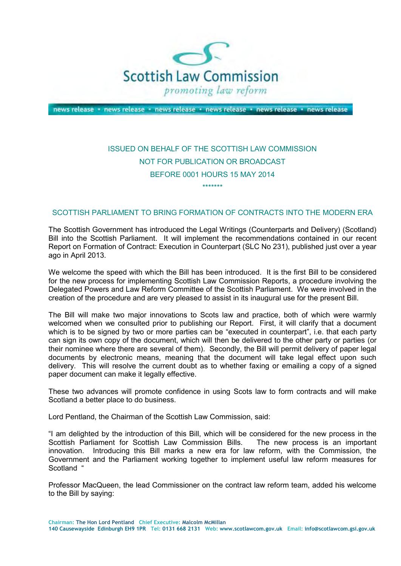

news release · news release · news release · news release · news release · news release

## ISSUED ON BEHALF OF THE SCOTTISH LAW COMMISSION NOT FOR PUBLICATION OR BROADCAST BEFORE 0001 HOURS 15 MAY 2014

\*\*\*\*\*\*\*

## SCOTTISH PARLIAMENT TO BRING FORMATION OF CONTRACTS INTO THE MODERN ERA

 The Scottish Government has introduced the Legal Writings (Counterparts and Delivery) (Scotland) Bill into the Scottish Parliament. It will implement the recommendations contained in our recent Report on Formation of Contract: Execution in Counterpart (SLC No 231), published just over a year ago in April 2013.

 We welcome the speed with which the Bill has been introduced. It is the first Bill to be considered for the new process for implementing Scottish Law Commission Reports, a procedure involving the Delegated Powers and Law Reform Committee of the Scottish Parliament. We were involved in the creation of the procedure and are very pleased to assist in its inaugural use for the present Bill.

 The Bill will make two major innovations to Scots law and practice, both of which were warmly welcomed when we consulted prior to publishing our Report. First, it will clarify that a document which is to be signed by two or more parties can be "executed in counterpart", i.e. that each party can sign its own copy of the document, which will then be delivered to the other party or parties (or their nominee where there are several of them). Secondly, the Bill will permit delivery of paper legal documents by electronic means, meaning that the document will take legal effect upon such delivery. This will resolve the current doubt as to whether faxing or emailing a copy of a signed paper document can make it legally effective.

 These two advances will promote confidence in using Scots law to form contracts and will make Scotland a better place to do business.

Lord Pentland, the Chairman of the Scottish Law Commission, said:

 "I am delighted by the introduction of this Bill, which will be considered for the new process in the Scottish Parliament for Scottish Law Commission Bills. The new process is an important innovation. Introducing this Bill marks a new era for law reform, with the Commission, the Government and the Parliament working together to implement useful law reform measures for Scotland "

 Professor MacQueen, the lead Commissioner on the contract law reform team, added his welcome to the Bill by saying:

 **140 Causewayside Edinburgh EH9 1PR Tel: 0131 668 2131 Web: www.scotlawcom.gov.uk Email: info@scotlawcom.gsi.gov.uk Chairman: The Hon Lord Pentland Chief Executive: Malcolm McMillan**